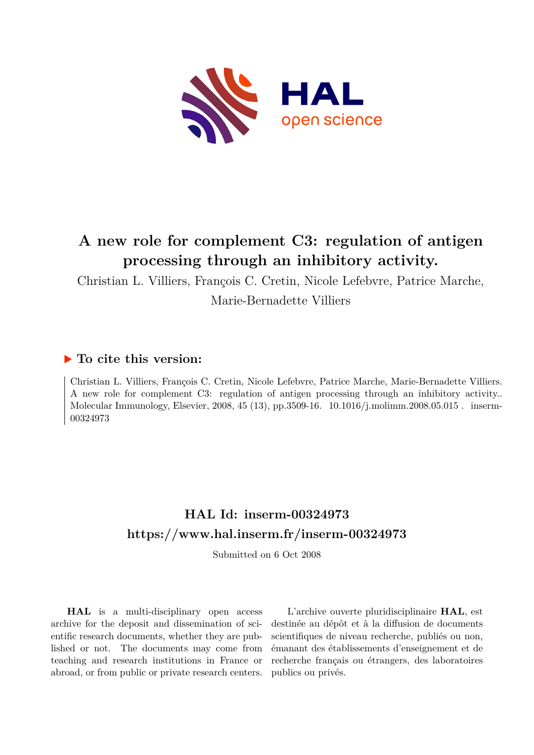

# **A new role for complement C3: regulation of antigen processing through an inhibitory activity.**

Christian L. Villiers, François C. Cretin, Nicole Lefebvre, Patrice Marche, Marie-Bernadette Villiers

# **To cite this version:**

Christian L. Villiers, François C. Cretin, Nicole Lefebvre, Patrice Marche, Marie-Bernadette Villiers. A new role for complement C3: regulation of antigen processing through an inhibitory activity.. Molecular Immunology, Elsevier, 2008, 45 (13), pp.3509-16.  $10.1016/j.molimm.2008.05.015$ . inserm-00324973ff

# **HAL Id: inserm-00324973 <https://www.hal.inserm.fr/inserm-00324973>**

Submitted on 6 Oct 2008

**HAL** is a multi-disciplinary open access archive for the deposit and dissemination of scientific research documents, whether they are published or not. The documents may come from teaching and research institutions in France or abroad, or from public or private research centers.

L'archive ouverte pluridisciplinaire **HAL**, est destinée au dépôt et à la diffusion de documents scientifiques de niveau recherche, publiés ou non, émanant des établissements d'enseignement et de recherche français ou étrangers, des laboratoires publics ou privés.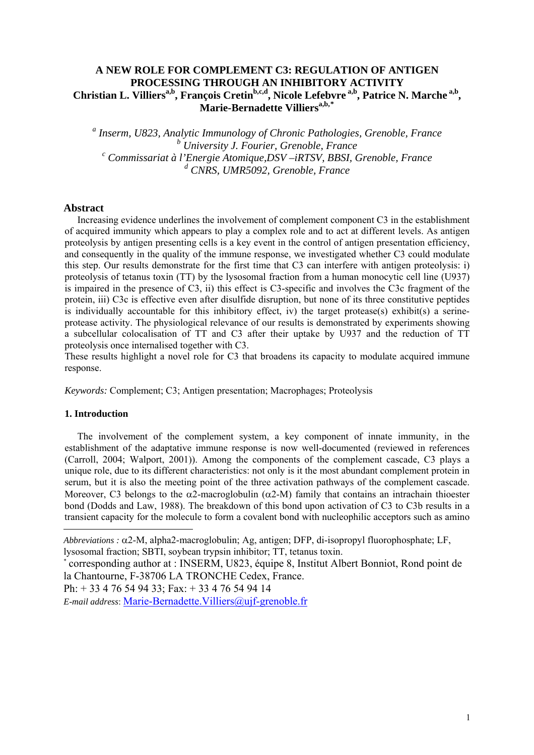# **A NEW ROLE FOR COMPLEMENT C3: REGULATION OF ANTIGEN PROCESSING THROUGH AN INHIBITORY ACTIVITY** Christian L. Villiers<sup>a,b</sup>, François Cretin<sup>b,c,d</sup>, Nicole Lefebvre<sup>a,b</sup>, Patrice N. Marche<sup>a,b</sup>, **Marie-Bernadette Villiersa,b,[\\*](#page-1-0)**

*a Inserm, U823, Analytic Immunology of Chronic Pathologies, Grenoble, France b* University J. Fourier, Grenoble, France <sup>*b</sup> University J. Fourier, Grenoble, France*<br><sup>c</sup> Commissariat à l'Energie Atomique,DSV –iRTSV, BBSI, Grenoble, France</sup> *d CNRS, UMR5092, Grenoble, France* 

#### **Abstract**

Increasing evidence underlines the involvement of complement component C3 in the establishment of acquired immunity which appears to play a complex role and to act at different levels. As antigen proteolysis by antigen presenting cells is a key event in the control of antigen presentation efficiency, and consequently in the quality of the immune response, we investigated whether C3 could modulate this step. Our results demonstrate for the first time that C3 can interfere with antigen proteolysis: i) proteolysis of tetanus toxin (TT) by the lysosomal fraction from a human monocytic cell line (U937) is impaired in the presence of C3, ii) this effect is C3-specific and involves the C3c fragment of the protein, iii) C3c is effective even after disulfide disruption, but none of its three constitutive peptides is individually accountable for this inhibitory effect, iv) the target protease(s) exhibit(s) a serineprotease activity. The physiological relevance of our results is demonstrated by experiments showing a subcellular colocalisation of TT and C3 after their uptake by U937 and the reduction of TT proteolysis once internalised together with C3.

These results highlight a novel role for C3 that broadens its capacity to modulate acquired immune response.

*Keywords:* Complement; C3; Antigen presentation; Macrophages; Proteolysis

#### **1. Introduction**

 $\overline{\phantom{a}}$ 

The involvement of the complement system, a key component of innate immunity, in the establishment of the adaptative immune response is now well-documented (reviewed in references (Carroll, 2004; Walport, 2001)). Among the components of the complement cascade, C3 plays a unique role, due to its different characteristics: not only is it the most abundant complement protein in serum, but it is also the meeting point of the three activation pathways of the complement cascade. Moreover, C3 belongs to the  $\alpha$ 2-macroglobulin ( $\alpha$ 2-M) family that contains an intrachain thioester bond (Dodds and Law, 1988). The breakdown of this bond upon activation of C3 to C3b results in a transient capacity for the molecule to form a covalent bond with nucleophilic acceptors such as amino

\* corresponding author at : INSERM, U823, équipe 8, Institut Albert Bonniot, Rond point de la Chantourne, F-38706 LA TRONCHE Cedex, France.

Ph: + 33 4 76 54 94 33; Fax: + 33 4 76 54 94 14

*E-mail address*: [Marie-Bernadette.Villiers@ujf-grenoble.fr](mailto:Marie-Bernadette.Villiers@ujf-grenoble.fr) 

<span id="page-1-0"></span>*Abbreviations :* α2-M, alpha2-macroglobulin; Ag, antigen; DFP, di-isopropyl fluorophosphate; LF, lysosomal fraction; SBTI, soybean trypsin inhibitor; TT, tetanus toxin.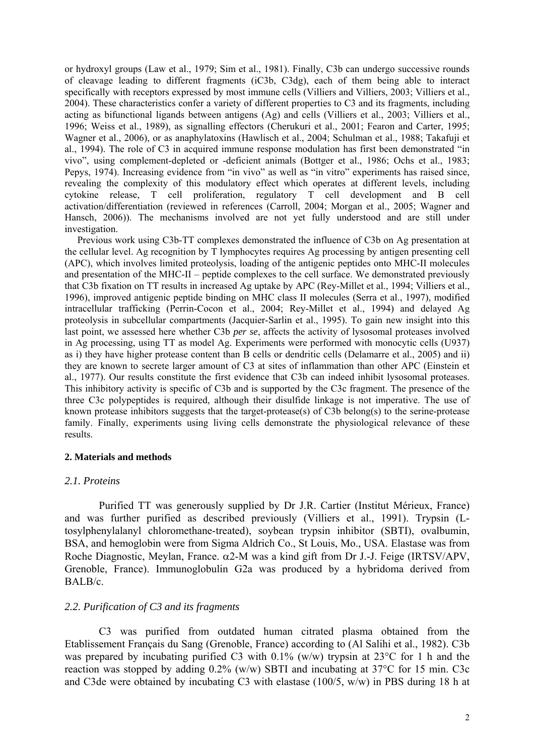or hydroxyl groups (Law et al., 1979; Sim et al., 1981). Finally, C3b can undergo successive rounds of cleavage leading to different fragments (iC3b, C3dg), each of them being able to interact specifically with receptors expressed by most immune cells (Villiers and Villiers, 2003; Villiers et al., 2004). These characteristics confer a variety of different properties to C3 and its fragments, including acting as bifunctional ligands between antigens (Ag) and cells (Villiers et al., 2003; Villiers et al., 1996; Weiss et al., 1989), as signalling effectors (Cherukuri et al., 2001; Fearon and Carter, 1995; Wagner et al., 2006), or as anaphylatoxins (Hawlisch et al., 2004; Schulman et al., 1988; Takafuji et al., 1994). The role of C3 in acquired immune response modulation has first been demonstrated "in vivo", using complement-depleted or -deficient animals (Bottger et al., 1986; Ochs et al., 1983; Pepys, 1974). Increasing evidence from "in vivo" as well as "in vitro" experiments has raised since, revealing the complexity of this modulatory effect which operates at different levels, including cytokine release, T cell proliferation, regulatory T cell development and B cell activation/differentiation (reviewed in references (Carroll, 2004; Morgan et al., 2005; Wagner and Hansch, 2006)). The mechanisms involved are not yet fully understood and are still under investigation.

Previous work using C3b-TT complexes demonstrated the influence of C3b on Ag presentation at the cellular level. Ag recognition by T lymphocytes requires Ag processing by antigen presenting cell (APC), which involves limited proteolysis, loading of the antigenic peptides onto MHC-II molecules and presentation of the MHC-II – peptide complexes to the cell surface. We demonstrated previously that C3b fixation on TT results in increased Ag uptake by APC (Rey-Millet et al., 1994; Villiers et al., 1996), improved antigenic peptide binding on MHC class II molecules (Serra et al., 1997), modified intracellular trafficking (Perrin-Cocon et al., 2004; Rey-Millet et al., 1994) and delayed Ag proteolysis in subcellular compartments (Jacquier-Sarlin et al., 1995). To gain new insight into this last point, we assessed here whether C3b *per se*, affects the activity of lysosomal proteases involved in Ag processing, using TT as model Ag. Experiments were performed with monocytic cells (U937) as i) they have higher protease content than B cells or dendritic cells (Delamarre et al., 2005) and ii) they are known to secrete larger amount of C3 at sites of inflammation than other APC (Einstein et al., 1977). Our results constitute the first evidence that C3b can indeed inhibit lysosomal proteases. This inhibitory activity is specific of C3b and is supported by the C3c fragment. The presence of the three C3c polypeptides is required, although their disulfide linkage is not imperative. The use of known protease inhibitors suggests that the target-protease(s) of C3b belong(s) to the serine-protease family. Finally, experiments using living cells demonstrate the physiological relevance of these results.

#### **2. Materials and methods**

# *2.1. Proteins*

Purified TT was generously supplied by Dr J.R. Cartier (Institut Mérieux, France) and was further purified as described previously (Villiers et al., 1991). Trypsin (Ltosylphenylalanyl chloromethane-treated), soybean trypsin inhibitor (SBTI), ovalbumin, BSA, and hemoglobin were from Sigma Aldrich Co., St Louis, Mo., USA. Elastase was from Roche Diagnostic, Meylan, France.  $α2-M$  was a kind gift from Dr J.-J. Feige (IRTSV/APV, Grenoble, France). Immunoglobulin G2a was produced by a hybridoma derived from BALB/c.

# *2.2. Purification of C3 and its fragments*

C3 was purified from outdated human citrated plasma obtained from the Etablissement Français du Sang (Grenoble, France) according to (Al Salihi et al., 1982). C3b was prepared by incubating purified C3 with  $0.1\%$  (w/w) trypsin at 23<sup>o</sup>C for 1 h and the reaction was stopped by adding 0.2% (w/w) SBTI and incubating at 37°C for 15 min. C3c and C3de were obtained by incubating C3 with elastase (100/5, w/w) in PBS during 18 h at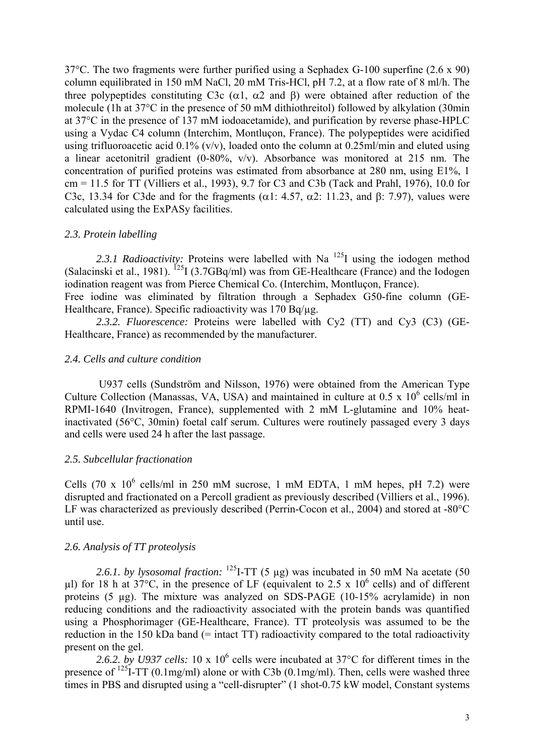37°C. The two fragments were further purified using a Sephadex G-100 superfine (2.6 x 90) column equilibrated in 150 mM NaCl, 20 mM Tris-HCl, pH 7.2, at a flow rate of 8 ml/h. The three polypeptides constituting C3c ( $\alpha$ 1,  $\alpha$ 2 and β) were obtained after reduction of the molecule (1h at 37°C in the presence of 50 mM dithiothreitol) followed by alkylation (30min at 37°C in the presence of 137 mM iodoacetamide), and purification by reverse phase-HPLC using a Vydac C4 column (Interchim, Montluçon, France). The polypeptides were acidified using trifluoroacetic acid  $0.1\%$  (v/v), loaded onto the column at  $0.25$ ml/min and eluted using a linear acetonitril gradient (0-80%, v/v). Absorbance was monitored at 215 nm. The concentration of purified proteins was estimated from absorbance at 280 nm, using E1%, 1 cm = 11.5 for TT (Villiers et al., 1993), 9.7 for C3 and C3b (Tack and Prahl, 1976), 10.0 for C3c, 13.34 for C3de and for the fragments ( $\alpha$ 1: 4.57,  $\alpha$ 2: 11.23, and β: 7.97), values were calculated using the ExPASy facilities.

# *2.3. Protein labelling*

2.3.1 Radioactivity: Proteins were labelled with Na<sup>125</sup>I using the iodogen method (Salacinski et al., 1981). <sup>125</sup>I (3.7GBq/ml) was from GE-Healthcare (France) and the Iodogen iodination reagent was from Pierce Chemical Co. (Interchim, Montluçon, France). Free iodine was eliminated by filtration through a Sephadex G50-fine column (GE-

Healthcare, France). Specific radioactivity was 170 Bq/ug. *2.3.2. Fluorescence:* Proteins were labelled with Cy2 (TT) and Cy3 (C3) (GE-Healthcare, France) as recommended by the manufacturer.

# *2.4. Cells and culture condition*

U937 cells (Sundström and Nilsson, 1976) were obtained from the American Type Culture Collection (Manassas, VA, USA) and maintained in culture at  $0.5 \times 10^6$  cells/ml in RPMI-1640 (Invitrogen, France), supplemented with 2 mM L-glutamine and 10% heatinactivated (56°C, 30min) foetal calf serum. Cultures were routinely passaged every 3 days and cells were used 24 h after the last passage.

# *2.5. Subcellular fractionation*

Cells (70 x  $10^6$  cells/ml in 250 mM sucrose, 1 mM EDTA, 1 mM hepes, pH 7.2) were disrupted and fractionated on a Percoll gradient as previously described (Villiers et al., 1996). LF was characterized as previously described (Perrin-Cocon et al., 2004) and stored at -80°C until use.

# *2.6. Analysis of TT proteolysis*

*2.6.1. by lysosomal fraction:* 125I-TT (5 µg) was incubated in 50 mM Na acetate (50  $\mu$ l) for 18 h at 37°C, in the presence of LF (equivalent to 2.5 x 10<sup>6</sup> cells) and of different proteins (5 µg). The mixture was analyzed on SDS-PAGE (10-15% acrylamide) in non reducing conditions and the radioactivity associated with the protein bands was quantified using a Phosphorimager (GE-Healthcare, France). TT proteolysis was assumed to be the reduction in the 150 kDa band (= intact TT) radioactivity compared to the total radioactivity present on the gel.

2.6.2. by U937 cells:  $10 \times 10^6$  cells were incubated at 37 $\degree$ C for different times in the presence of  $^{125}$ I-TT (0.1mg/ml) alone or with C3b (0.1mg/ml). Then, cells were washed three times in PBS and disrupted using a "cell-disrupter" (1 shot-0.75 kW model, Constant systems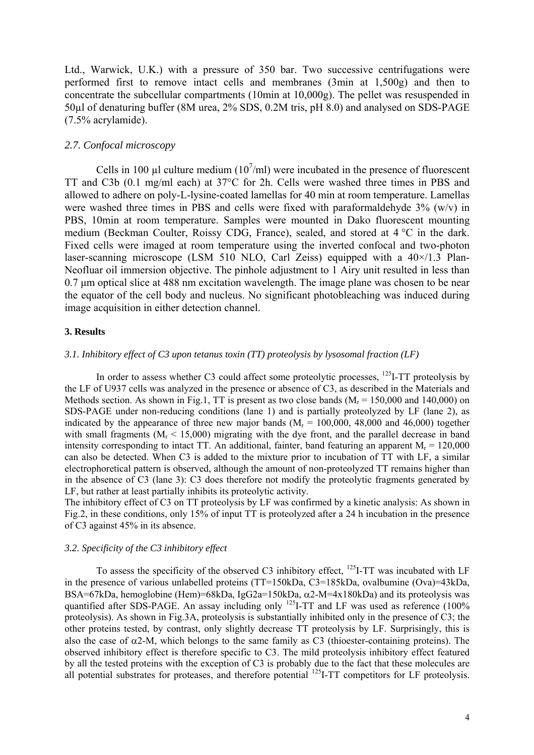Ltd., Warwick, U.K.) with a pressure of 350 bar. Two successive centrifugations were performed first to remove intact cells and membranes (3min at 1,500g) and then to concentrate the subcellular compartments (10min at 10,000g). The pellet was resuspended in 50µl of denaturing buffer (8M urea, 2% SDS, 0.2M tris, pH 8.0) and analysed on SDS-PAGE (7.5% acrylamide).

#### *2.7. Confocal microscopy*

Cells in 100  $\mu$ l culture medium (10<sup>7</sup>/ml) were incubated in the presence of fluorescent TT and C3b (0.1 mg/ml each) at 37°C for 2h. Cells were washed three times in PBS and allowed to adhere on poly-L-lysine-coated lamellas for 40 min at room temperature. Lamellas were washed three times in PBS and cells were fixed with paraformaldehyde 3% (w/v) in PBS, 10min at room temperature. Samples were mounted in Dako fluorescent mounting medium (Beckman Coulter, Roissy CDG, France), sealed, and stored at 4 °C in the dark. Fixed cells were imaged at room temperature using the inverted confocal and two-photon laser-scanning microscope (LSM 510 NLO, Carl Zeiss) equipped with a 40×/1.3 Plan-Neofluar oil immersion objective. The pinhole adjustment to 1 Airy unit resulted in less than 0.7 μm optical slice at 488 nm excitation wavelength. The image plane was chosen to be near the equator of the cell body and nucleus. No significant photobleaching was induced during image acquisition in either detection channel.

#### **3. Results**

# *3.1. Inhibitory effect of C3 upon tetanus toxin (TT) proteolysis by lysosomal fraction (LF)*

In order to assess whether C3 could affect some proteolytic processes,  $^{125}$ I-TT proteolysis by the LF of U937 cells was analyzed in the presence or absence of C3, as described in the Materials and Methods section. As shown in Fig.1, TT is present as two close bands ( $M_r = 150,000$  and 140,000) on SDS-PAGE under non-reducing conditions (lane 1) and is partially proteolyzed by LF (lane 2), as indicated by the appearance of three new major bands ( $M_r = 100,000, 48,000$  and 46,000) together with small fragments ( $M_r < 15,000$ ) migrating with the dye front, and the parallel decrease in band intensity corresponding to intact TT. An additional, fainter, band featuring an apparent  $M_r = 120,000$ can also be detected. When C3 is added to the mixture prior to incubation of TT with LF, a similar electrophoretical pattern is observed, although the amount of non-proteolyzed TT remains higher than in the absence of C3 (lane 3): C3 does therefore not modify the proteolytic fragments generated by LF, but rather at least partially inhibits its proteolytic activity.

The inhibitory effect of C3 on TT proteolysis by LF was confirmed by a kinetic analysis: As shown in Fig.2, in these conditions, only 15% of input TT is proteolyzed after a 24 h incubation in the presence of C3 against 45% in its absence.

#### *3.2. Specificity of the C3 inhibitory effect*

To assess the specificity of the observed C3 inhibitory effect, <sup>125</sup>I-TT was incubated with LF in the presence of various unlabelled proteins (TT=150kDa, C3=185kDa, ovalbumine (Ova)=43kDa, BSA=67kDa, hemoglobine (Hem)=68kDa, IgG2a=150kDa,  $\alpha$ 2-M=4x180kDa) and its proteolysis was quantified after SDS-PAGE. An assay including only  $^{125}I$ -TT and LF was used as reference (100%) proteolysis). As shown in Fig.3A, proteolysis is substantially inhibited only in the presence of C3; the other proteins tested, by contrast, only slightly decrease TT proteolysis by LF. Surprisingly, this is also the case of  $\alpha$ 2-M, which belongs to the same family as C3 (thioester-containing proteins). The observed inhibitory effect is therefore specific to C3. The mild proteolysis inhibitory effect featured by all the tested proteins with the exception of C3 is probably due to the fact that these molecules are all potential substrates for proteases, and therefore potential <sup>125</sup>I-TT competitors for LF proteolysis.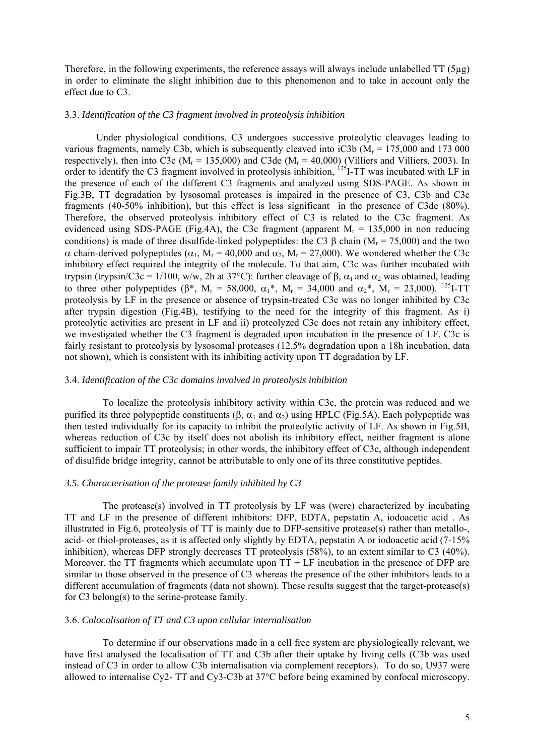Therefore, in the following experiments, the reference assays will always include unlabelled  $TT(5\mu g)$ in order to eliminate the slight inhibition due to this phenomenon and to take in account only the effect due to C3.

#### 3.3. *Identification of the C3 fragment involved in proteolysis inhibition*

Under physiological conditions, C3 undergoes successive proteolytic cleavages leading to various fragments, namely C3b, which is subsequently cleaved into iC3b ( $M_r = 175,000$  and 173 000 respectively), then into C3c ( $M_r = 135,000$ ) and C3de ( $M_r = 40,000$ ) (Villiers and Villiers, 2003). In order to identify the C3 fragment involved in proteolysis inhibition,  $^{125}$ I-TT was incubated with LF in the presence of each of the different C3 fragments and analyzed using SDS-PAGE. As shown in Fig.3B, TT degradation by lysosomal proteases is impaired in the presence of C3, C3b and C3c fragments (40-50% inhibition), but this effect is less significant in the presence of C3de (80%). Therefore, the observed proteolysis inhibitory effect of C3 is related to the C3c fragment. As evidenced using SDS-PAGE (Fig.4A), the C3c fragment (apparent  $M_r = 135,000$  in non reducing conditions) is made of three disulfide-linked polypeptides: the C3  $\beta$  chain (M<sub>r</sub> = 75,000) and the two α chain-derived polypeptides ( $\alpha_1$ , M<sub>r</sub> = 40,000 and  $\alpha_2$ , M<sub>r</sub> = 27,000). We wondered whether the C3c inhibitory effect required the integrity of the molecule. To that aim, C3c was further incubated with trypsin (trypsin/C3c = 1/100, w/w, 2h at 37°C): further cleavage of β,  $\alpha_1$  and  $\alpha_2$  was obtained, leading to three other polypeptides ( $\beta^*$ ,  $M_r = 58,000$ ,  $\alpha_1^*$ ,  $M_r = 34,000$  and  $\alpha_2^*$ ,  $M_r = 23,000$ ). <sup>125</sup>I-TT proteolysis by LF in the presence or absence of trypsin-treated C3c was no longer inhibited by C3c after trypsin digestion (Fig.4B), testifying to the need for the integrity of this fragment. As i) proteolytic activities are present in LF and ii) proteolyzed C3c does not retain any inhibitory effect, we investigated whether the C3 fragment is degraded upon incubation in the presence of LF. C3c is fairly resistant to proteolysis by lysosomal proteases (12.5% degradation upon a 18h incubation, data not shown), which is consistent with its inhibiting activity upon TT degradation by LF.

#### 3.4. *Identification of the C3c domains involved in proteolysis inhibition*

To localize the proteolysis inhibitory activity within C3c, the protein was reduced and we purified its three polypeptide constituents ( $\beta$ ,  $\alpha_1$  and  $\alpha_2$ ) using HPLC (Fig.5A). Each polypeptide was then tested individually for its capacity to inhibit the proteolytic activity of LF. As shown in Fig.5B, whereas reduction of C3c by itself does not abolish its inhibitory effect, neither fragment is alone sufficient to impair TT proteolysis; in other words, the inhibitory effect of C3c, although independent of disulfide bridge integrity, cannot be attributable to only one of its three constitutive peptides.

#### *3.5. Characterisation of the protease family inhibited by C3*

The protease(s) involved in TT proteolysis by LF was (were) characterized by incubating TT and LF in the presence of different inhibitors: DFP, EDTA, pepstatin A, iodoacetic acid . As illustrated in Fig.6, proteolysis of TT is mainly due to DFP-sensitive protease(s) rather than metallo-, acid- or thiol-proteases, as it is affected only slightly by EDTA, pepstatin A or iodoacetic acid (7-15% inhibition), whereas DFP strongly decreases TT proteolysis (58%), to an extent similar to C3 (40%). Moreover, the TT fragments which accumulate upon  $TT + LF$  incubation in the presence of DFP are similar to those observed in the presence of C3 whereas the presence of the other inhibitors leads to a different accumulation of fragments (data not shown). These results suggest that the target-protease(s) for C3 belong(s) to the serine-protease family.

#### 3.6. *Colocalisation of TT and C3 upon cellular internalisation*

To determine if our observations made in a cell free system are physiologically relevant, we have first analysed the localisation of TT and C3b after their uptake by living cells (C3b was used instead of C3 in order to allow C3b internalisation via complement receptors). To do so, U937 were allowed to internalise Cy2- TT and Cy3-C3b at 37°C before being examined by confocal microscopy.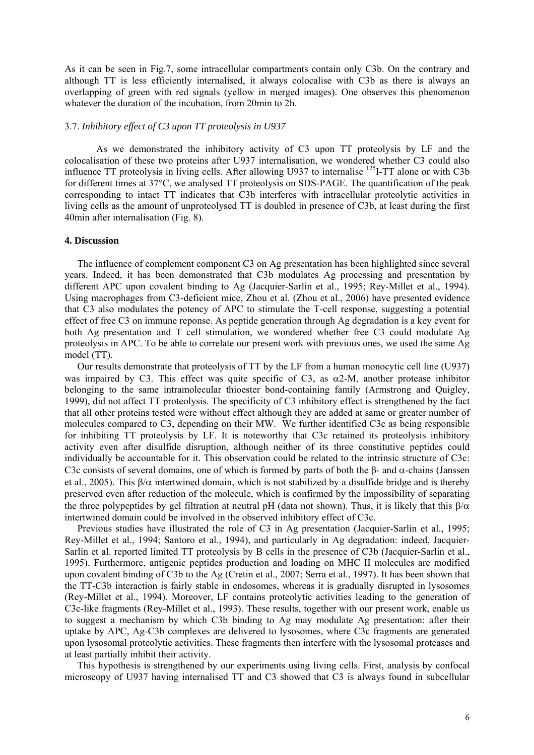As it can be seen in Fig.7, some intracellular compartments contain only C3b. On the contrary and although TT is less efficiently internalised, it always colocalise with C3b as there is always an overlapping of green with red signals (yellow in merged images). One observes this phenomenon whatever the duration of the incubation, from 20min to 2h.

### 3.7. *Inhibitory effect of C3 upon TT proteolysis in U937*

As we demonstrated the inhibitory activity of C3 upon TT proteolysis by LF and the colocalisation of these two proteins after U937 internalisation, we wondered whether C3 could also influence TT proteolysis in living cells. After allowing U937 to internalise <sup>125</sup>I-TT alone or with C3b for different times at 37°C, we analysed TT proteolysis on SDS-PAGE. The quantification of the peak corresponding to intact TT indicates that C3b interferes with intracellular proteolytic activities in living cells as the amount of unproteolysed TT is doubled in presence of C3b, at least during the first 40min after internalisation (Fig. 8).

#### **4. Discussion**

The influence of complement component C3 on Ag presentation has been highlighted since several years. Indeed, it has been demonstrated that C3b modulates Ag processing and presentation by different APC upon covalent binding to Ag (Jacquier-Sarlin et al., 1995; Rey-Millet et al., 1994). Using macrophages from C3-deficient mice, Zhou et al. (Zhou et al., 2006) have presented evidence that C3 also modulates the potency of APC to stimulate the T-cell response, suggesting a potential effect of free C3 on immune reponse. As peptide generation through Ag degradation is a key event for both Ag presentation and T cell stimulation, we wondered whether free C3 could modulate Ag proteolysis in APC. To be able to correlate our present work with previous ones, we used the same Ag model (TT).

Our results demonstrate that proteolysis of TT by the LF from a human monocytic cell line (U937) was impaired by C3. This effect was quite specific of C3, as  $\alpha$ 2-M, another protease inhibitor belonging to the same intramolecular thioester bond-containing family (Armstrong and Quigley, 1999), did not affect TT proteolysis. The specificity of C3 inhibitory effect is strengthened by the fact that all other proteins tested were without effect although they are added at same or greater number of molecules compared to C3, depending on their MW. We further identified C3c as being responsible for inhibiting TT proteolysis by LF. It is noteworthy that C3c retained its proteolysis inhibitory activity even after disulfide disruption, although neither of its three constitutive peptides could individually be accountable for it. This observation could be related to the intrinsic structure of C3c: C3c consists of several domains, one of which is formed by parts of both the  $\beta$ - and  $\alpha$ -chains (Janssen et al., 2005). This  $\beta/\alpha$  intertwined domain, which is not stabilized by a disulfide bridge and is thereby preserved even after reduction of the molecule, which is confirmed by the impossibility of separating the three polypeptides by gel filtration at neutral pH (data not shown). Thus, it is likely that this  $\beta/\alpha$ intertwined domain could be involved in the observed inhibitory effect of C3c.

Previous studies have illustrated the role of C3 in Ag presentation (Jacquier-Sarlin et al., 1995; Rey-Millet et al., 1994; Santoro et al., 1994), and particularly in Ag degradation: indeed, Jacquier-Sarlin et al. reported limited TT proteolysis by B cells in the presence of C3b (Jacquier-Sarlin et al., 1995). Furthermore, antigenic peptides production and loading on MHC II molecules are modified upon covalent binding of C3b to the Ag (Cretin et al., 2007; Serra et al., 1997). It has been shown that the TT-C3b interaction is fairly stable in endosomes, whereas it is gradually disrupted in lysosomes (Rey-Millet et al., 1994). Moreover, LF contains proteolytic activities leading to the generation of C3c-like fragments (Rey-Millet et al., 1993). These results, together with our present work, enable us to suggest a mechanism by which C3b binding to Ag may modulate Ag presentation: after their uptake by APC, Ag-C3b complexes are delivered to lysosomes, where C3c fragments are generated upon lysosomal proteolytic activities. These fragments then interfere with the lysosomal proteases and at least partially inhibit their activity.

This hypothesis is strengthened by our experiments using living cells. First, analysis by confocal microscopy of U937 having internalised TT and C3 showed that C3 is always found in subcellular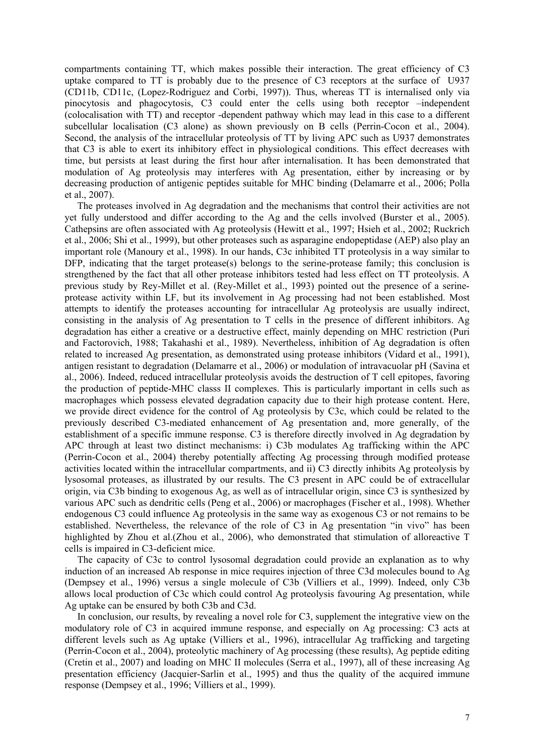compartments containing TT, which makes possible their interaction. The great efficiency of C3 uptake compared to TT is probably due to the presence of C3 receptors at the surface of U937 (CD11b, CD11c, (Lopez-Rodriguez and Corbi, 1997)). Thus, whereas TT is internalised only via pinocytosis and phagocytosis, C3 could enter the cells using both receptor –independent (colocalisation with TT) and receptor -dependent pathway which may lead in this case to a different subcellular localisation (C3 alone) as shown previously on B cells (Perrin-Cocon et al., 2004). Second, the analysis of the intracellular proteolysis of TT by living APC such as U937 demonstrates that C3 is able to exert its inhibitory effect in physiological conditions. This effect decreases with time, but persists at least during the first hour after internalisation. It has been demonstrated that modulation of Ag proteolysis may interferes with Ag presentation, either by increasing or by decreasing production of antigenic peptides suitable for MHC binding (Delamarre et al., 2006; Polla et al., 2007).

The proteases involved in Ag degradation and the mechanisms that control their activities are not yet fully understood and differ according to the Ag and the cells involved (Burster et al., 2005). Cathepsins are often associated with Ag proteolysis (Hewitt et al., 1997; Hsieh et al., 2002; Ruckrich et al., 2006; Shi et al., 1999), but other proteases such as asparagine endopeptidase (AEP) also play an important role (Manoury et al., 1998). In our hands, C3c inhibited TT proteolysis in a way similar to DFP, indicating that the target protease(s) belongs to the serine-protease family; this conclusion is strengthened by the fact that all other protease inhibitors tested had less effect on TT proteolysis. A previous study by Rey-Millet et al. (Rey-Millet et al., 1993) pointed out the presence of a serineprotease activity within LF, but its involvement in Ag processing had not been established. Most attempts to identify the proteases accounting for intracellular Ag proteolysis are usually indirect, consisting in the analysis of Ag presentation to T cells in the presence of different inhibitors. Ag degradation has either a creative or a destructive effect, mainly depending on MHC restriction (Puri and Factorovich, 1988; Takahashi et al., 1989). Nevertheless, inhibition of Ag degradation is often related to increased Ag presentation, as demonstrated using protease inhibitors (Vidard et al., 1991), antigen resistant to degradation (Delamarre et al., 2006) or modulation of intravacuolar pH (Savina et al., 2006). Indeed, reduced intracellular proteolysis avoids the destruction of T cell epitopes, favoring the production of peptide-MHC classs II complexes. This is particularly important in cells such as macrophages which possess elevated degradation capacity due to their high protease content. Here, we provide direct evidence for the control of Ag proteolysis by C3c, which could be related to the previously described C3-mediated enhancement of Ag presentation and, more generally, of the establishment of a specific immune response. C3 is therefore directly involved in Ag degradation by APC through at least two distinct mechanisms: i) C3b modulates Ag trafficking within the APC (Perrin-Cocon et al., 2004) thereby potentially affecting Ag processing through modified protease activities located within the intracellular compartments, and ii) C3 directly inhibits Ag proteolysis by lysosomal proteases, as illustrated by our results. The C3 present in APC could be of extracellular origin, via C3b binding to exogenous Ag, as well as of intracellular origin, since C3 is synthesized by various APC such as dendritic cells (Peng et al., 2006) or macrophages (Fischer et al., 1998). Whether endogenous C3 could influence Ag proteolysis in the same way as exogenous C3 or not remains to be established. Nevertheless, the relevance of the role of C3 in Ag presentation "in vivo" has been highlighted by Zhou et al.(Zhou et al., 2006), who demonstrated that stimulation of alloreactive T cells is impaired in C3-deficient mice.

The capacity of C3c to control lysosomal degradation could provide an explanation as to why induction of an increased Ab response in mice requires injection of three C3d molecules bound to Ag (Dempsey et al., 1996) versus a single molecule of C3b (Villiers et al., 1999). Indeed, only C3b allows local production of C3c which could control Ag proteolysis favouring Ag presentation, while Ag uptake can be ensured by both C3b and C3d.

In conclusion, our results, by revealing a novel role for C3, supplement the integrative view on the modulatory role of C3 in acquired immune response, and especially on Ag processing: C3 acts at different levels such as Ag uptake (Villiers et al., 1996), intracellular Ag trafficking and targeting (Perrin-Cocon et al., 2004), proteolytic machinery of Ag processing (these results), Ag peptide editing (Cretin et al., 2007) and loading on MHC II molecules (Serra et al., 1997), all of these increasing Ag presentation efficiency (Jacquier-Sarlin et al., 1995) and thus the quality of the acquired immune response (Dempsey et al., 1996; Villiers et al., 1999).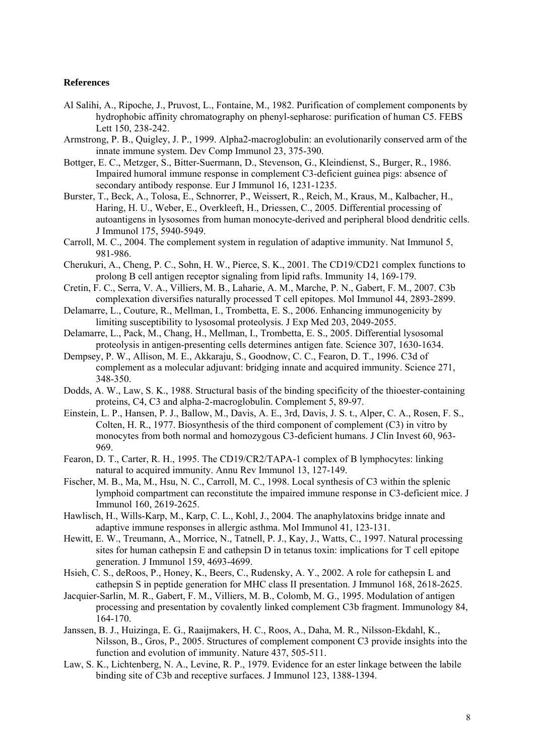#### **References**

- Al Salihi, A., Ripoche, J., Pruvost, L., Fontaine, M., 1982. Purification of complement components by hydrophobic affinity chromatography on phenyl-sepharose: purification of human C5. FEBS Lett 150, 238-242.
- Armstrong, P. B., Quigley, J. P., 1999. Alpha2-macroglobulin: an evolutionarily conserved arm of the innate immune system. Dev Comp Immunol 23, 375-390.
- Bottger, E. C., Metzger, S., Bitter-Suermann, D., Stevenson, G., Kleindienst, S., Burger, R., 1986. Impaired humoral immune response in complement C3-deficient guinea pigs: absence of secondary antibody response. Eur J Immunol 16, 1231-1235.
- Burster, T., Beck, A., Tolosa, E., Schnorrer, P., Weissert, R., Reich, M., Kraus, M., Kalbacher, H., Haring, H. U., Weber, E., Overkleeft, H., Driessen, C., 2005. Differential processing of autoantigens in lysosomes from human monocyte-derived and peripheral blood dendritic cells. J Immunol 175, 5940-5949.
- Carroll, M. C., 2004. The complement system in regulation of adaptive immunity. Nat Immunol 5, 981-986.
- Cherukuri, A., Cheng, P. C., Sohn, H. W., Pierce, S. K., 2001. The CD19/CD21 complex functions to prolong B cell antigen receptor signaling from lipid rafts. Immunity 14, 169-179.
- Cretin, F. C., Serra, V. A., Villiers, M. B., Laharie, A. M., Marche, P. N., Gabert, F. M., 2007. C3b complexation diversifies naturally processed T cell epitopes. Mol Immunol 44, 2893-2899.
- Delamarre, L., Couture, R., Mellman, I., Trombetta, E. S., 2006. Enhancing immunogenicity by limiting susceptibility to lysosomal proteolysis. J Exp Med 203, 2049-2055.
- Delamarre, L., Pack, M., Chang, H., Mellman, I., Trombetta, E. S., 2005. Differential lysosomal proteolysis in antigen-presenting cells determines antigen fate. Science 307, 1630-1634.
- Dempsey, P. W., Allison, M. E., Akkaraju, S., Goodnow, C. C., Fearon, D. T., 1996. C3d of complement as a molecular adjuvant: bridging innate and acquired immunity. Science 271, 348-350.
- Dodds, A. W., Law, S. K., 1988. Structural basis of the binding specificity of the thioester-containing proteins, C4, C3 and alpha-2-macroglobulin. Complement 5, 89-97.
- Einstein, L. P., Hansen, P. J., Ballow, M., Davis, A. E., 3rd, Davis, J. S. t., Alper, C. A., Rosen, F. S., Colten, H. R., 1977. Biosynthesis of the third component of complement (C3) in vitro by monocytes from both normal and homozygous C3-deficient humans. J Clin Invest 60, 963- 969.
- Fearon, D. T., Carter, R. H., 1995. The CD19/CR2/TAPA-1 complex of B lymphocytes: linking natural to acquired immunity. Annu Rev Immunol 13, 127-149.
- Fischer, M. B., Ma, M., Hsu, N. C., Carroll, M. C., 1998. Local synthesis of C3 within the splenic lymphoid compartment can reconstitute the impaired immune response in C3-deficient mice. J Immunol 160, 2619-2625.
- Hawlisch, H., Wills-Karp, M., Karp, C. L., Kohl, J., 2004. The anaphylatoxins bridge innate and adaptive immune responses in allergic asthma. Mol Immunol 41, 123-131.
- Hewitt, E. W., Treumann, A., Morrice, N., Tatnell, P. J., Kay, J., Watts, C., 1997. Natural processing sites for human cathepsin E and cathepsin D in tetanus toxin: implications for T cell epitope generation. J Immunol 159, 4693-4699.
- Hsieh, C. S., deRoos, P., Honey, K., Beers, C., Rudensky, A. Y., 2002. A role for cathepsin L and cathepsin S in peptide generation for MHC class II presentation. J Immunol 168, 2618-2625.
- Jacquier-Sarlin, M. R., Gabert, F. M., Villiers, M. B., Colomb, M. G., 1995. Modulation of antigen processing and presentation by covalently linked complement C3b fragment. Immunology 84, 164-170.
- Janssen, B. J., Huizinga, E. G., Raaijmakers, H. C., Roos, A., Daha, M. R., Nilsson-Ekdahl, K., Nilsson, B., Gros, P., 2005. Structures of complement component C3 provide insights into the function and evolution of immunity. Nature 437, 505-511.
- Law, S. K., Lichtenberg, N. A., Levine, R. P., 1979. Evidence for an ester linkage between the labile binding site of C3b and receptive surfaces. J Immunol 123, 1388-1394.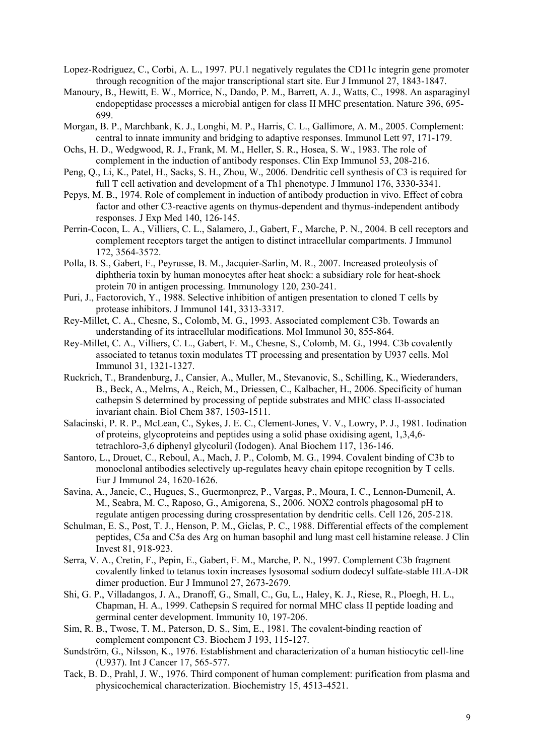Lopez-Rodriguez, C., Corbi, A. L., 1997. PU.1 negatively regulates the CD11c integrin gene promoter through recognition of the major transcriptional start site. Eur J Immunol 27, 1843-1847.

- Manoury, B., Hewitt, E. W., Morrice, N., Dando, P. M., Barrett, A. J., Watts, C., 1998. An asparaginyl endopeptidase processes a microbial antigen for class II MHC presentation. Nature 396, 695- 699.
- Morgan, B. P., Marchbank, K. J., Longhi, M. P., Harris, C. L., Gallimore, A. M., 2005. Complement: central to innate immunity and bridging to adaptive responses. Immunol Lett 97, 171-179.
- Ochs, H. D., Wedgwood, R. J., Frank, M. M., Heller, S. R., Hosea, S. W., 1983. The role of complement in the induction of antibody responses. Clin Exp Immunol 53, 208-216.
- Peng, Q., Li, K., Patel, H., Sacks, S. H., Zhou, W., 2006. Dendritic cell synthesis of C3 is required for full T cell activation and development of a Th1 phenotype. J Immunol 176, 3330-3341.
- Pepys, M. B., 1974. Role of complement in induction of antibody production in vivo. Effect of cobra factor and other C3-reactive agents on thymus-dependent and thymus-independent antibody responses. J Exp Med 140, 126-145.
- Perrin-Cocon, L. A., Villiers, C. L., Salamero, J., Gabert, F., Marche, P. N., 2004. B cell receptors and complement receptors target the antigen to distinct intracellular compartments. J Immunol 172, 3564-3572.
- Polla, B. S., Gabert, F., Peyrusse, B. M., Jacquier-Sarlin, M. R., 2007. Increased proteolysis of diphtheria toxin by human monocytes after heat shock: a subsidiary role for heat-shock protein 70 in antigen processing. Immunology 120, 230-241.
- Puri, J., Factorovich, Y., 1988. Selective inhibition of antigen presentation to cloned T cells by protease inhibitors. J Immunol 141, 3313-3317.
- Rey-Millet, C. A., Chesne, S., Colomb, M. G., 1993. Associated complement C3b. Towards an understanding of its intracellular modifications. Mol Immunol 30, 855-864.
- Rey-Millet, C. A., Villiers, C. L., Gabert, F. M., Chesne, S., Colomb, M. G., 1994. C3b covalently associated to tetanus toxin modulates TT processing and presentation by U937 cells. Mol Immunol 31, 1321-1327.
- Ruckrich, T., Brandenburg, J., Cansier, A., Muller, M., Stevanovic, S., Schilling, K., Wiederanders, B., Beck, A., Melms, A., Reich, M., Driessen, C., Kalbacher, H., 2006. Specificity of human cathepsin S determined by processing of peptide substrates and MHC class II-associated invariant chain. Biol Chem 387, 1503-1511.
- Salacinski, P. R. P., McLean, C., Sykes, J. E. C., Clement-Jones, V. V., Lowry, P. J., 1981. Iodination of proteins, glycoproteins and peptides using a solid phase oxidising agent, 1,3,4,6 tetrachloro-3,6 diphenyl glycoluril (Iodogen). Anal Biochem 117, 136-146.
- Santoro, L., Drouet, C., Reboul, A., Mach, J. P., Colomb, M. G., 1994. Covalent binding of C3b to monoclonal antibodies selectively up-regulates heavy chain epitope recognition by T cells. Eur J Immunol 24, 1620-1626.
- Savina, A., Jancic, C., Hugues, S., Guermonprez, P., Vargas, P., Moura, I. C., Lennon-Dumenil, A. M., Seabra, M. C., Raposo, G., Amigorena, S., 2006. NOX2 controls phagosomal pH to regulate antigen processing during crosspresentation by dendritic cells. Cell 126, 205-218.
- Schulman, E. S., Post, T. J., Henson, P. M., Giclas, P. C., 1988. Differential effects of the complement peptides, C5a and C5a des Arg on human basophil and lung mast cell histamine release. J Clin Invest 81, 918-923.
- Serra, V. A., Cretin, F., Pepin, E., Gabert, F. M., Marche, P. N., 1997. Complement C3b fragment covalently linked to tetanus toxin increases lysosomal sodium dodecyl sulfate-stable HLA-DR dimer production. Eur J Immunol 27, 2673-2679.
- Shi, G. P., Villadangos, J. A., Dranoff, G., Small, C., Gu, L., Haley, K. J., Riese, R., Ploegh, H. L., Chapman, H. A., 1999. Cathepsin S required for normal MHC class II peptide loading and germinal center development. Immunity 10, 197-206.
- Sim, R. B., Twose, T. M., Paterson, D. S., Sim, E., 1981. The covalent-binding reaction of complement component C3. Biochem J 193, 115-127.
- Sundström, G., Nilsson, K., 1976. Establishment and characterization of a human histiocytic cell-line (U937). Int J Cancer 17, 565-577.
- Tack, B. D., Prahl, J. W., 1976. Third component of human complement: purification from plasma and physicochemical characterization. Biochemistry 15, 4513-4521.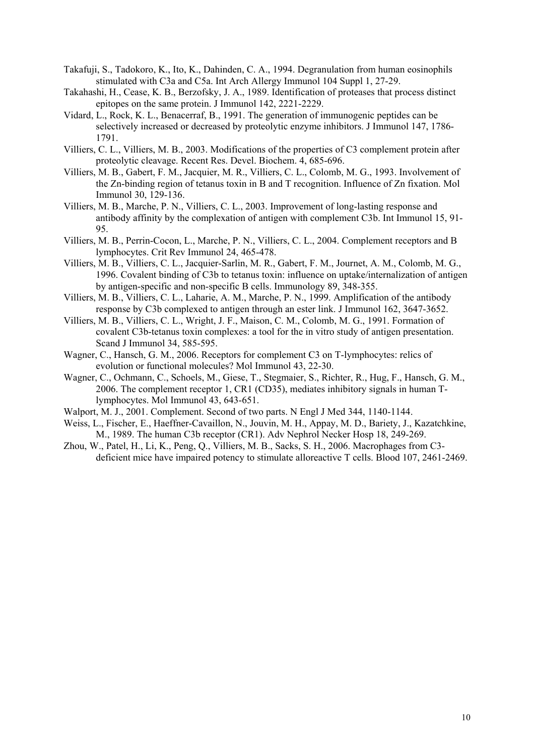- Takafuji, S., Tadokoro, K., Ito, K., Dahinden, C. A., 1994. Degranulation from human eosinophils stimulated with C3a and C5a. Int Arch Allergy Immunol 104 Suppl 1, 27-29.
- Takahashi, H., Cease, K. B., Berzofsky, J. A., 1989. Identification of proteases that process distinct epitopes on the same protein. J Immunol 142, 2221-2229.
- Vidard, L., Rock, K. L., Benacerraf, B., 1991. The generation of immunogenic peptides can be selectively increased or decreased by proteolytic enzyme inhibitors. J Immunol 147, 1786- 1791.
- Villiers, C. L., Villiers, M. B., 2003. Modifications of the properties of C3 complement protein after proteolytic cleavage. Recent Res. Devel. Biochem. 4, 685-696.
- Villiers, M. B., Gabert, F. M., Jacquier, M. R., Villiers, C. L., Colomb, M. G., 1993. Involvement of the Zn-binding region of tetanus toxin in B and T recognition. Influence of Zn fixation. Mol Immunol 30, 129-136.
- Villiers, M. B., Marche, P. N., Villiers, C. L., 2003. Improvement of long-lasting response and antibody affinity by the complexation of antigen with complement C3b. Int Immunol 15, 91- 95.
- Villiers, M. B., Perrin-Cocon, L., Marche, P. N., Villiers, C. L., 2004. Complement receptors and B lymphocytes. Crit Rev Immunol 24, 465-478.
- Villiers, M. B., Villiers, C. L., Jacquier-Sarlin, M. R., Gabert, F. M., Journet, A. M., Colomb, M. G., 1996. Covalent binding of C3b to tetanus toxin: influence on uptake/internalization of antigen by antigen-specific and non-specific B cells. Immunology 89, 348-355.
- Villiers, M. B., Villiers, C. L., Laharie, A. M., Marche, P. N., 1999. Amplification of the antibody response by C3b complexed to antigen through an ester link. J Immunol 162, 3647-3652.
- Villiers, M. B., Villiers, C. L., Wright, J. F., Maison, C. M., Colomb, M. G., 1991. Formation of covalent C3b-tetanus toxin complexes: a tool for the in vitro study of antigen presentation. Scand J Immunol 34, 585-595.
- Wagner, C., Hansch, G. M., 2006. Receptors for complement C3 on T-lymphocytes: relics of evolution or functional molecules? Mol Immunol 43, 22-30.
- Wagner, C., Ochmann, C., Schoels, M., Giese, T., Stegmaier, S., Richter, R., Hug, F., Hansch, G. M., 2006. The complement receptor 1, CR1 (CD35), mediates inhibitory signals in human Tlymphocytes. Mol Immunol 43, 643-651.
- Walport, M. J., 2001. Complement. Second of two parts. N Engl J Med 344, 1140-1144.
- Weiss, L., Fischer, E., Haeffner-Cavaillon, N., Jouvin, M. H., Appay, M. D., Bariety, J., Kazatchkine, M., 1989. The human C3b receptor (CR1). Adv Nephrol Necker Hosp 18, 249-269.
- Zhou, W., Patel, H., Li, K., Peng, Q., Villiers, M. B., Sacks, S. H., 2006. Macrophages from C3 deficient mice have impaired potency to stimulate alloreactive T cells. Blood 107, 2461-2469.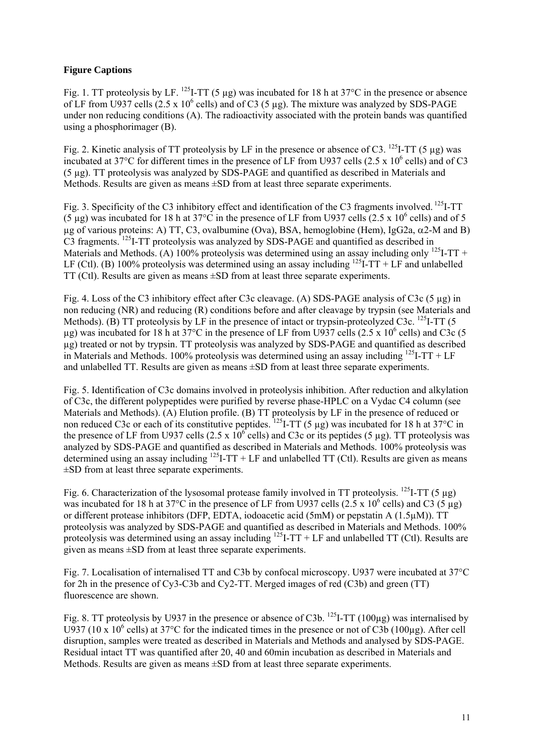# **Figure Captions**

Fig. 1. TT proteolysis by LF. <sup>125</sup>I-TT (5 µg) was incubated for 18 h at 37°C in the presence or absence of LF from U937 cells  $(2.5 \times 10^6 \text{ cells})$  and of C3 (5 µg). The mixture was analyzed by SDS-PAGE under non reducing conditions (A). The radioactivity associated with the protein bands was quantified using a phosphorimager (B).

Fig. 2. Kinetic analysis of TT proteolysis by LF in the presence or absence of C3. <sup>125</sup>I-TT (5 µg) was incubated at 37 $\degree$ C for different times in the presence of LF from U937 cells (2.5 x 10 $\degree$  cells) and of C3 (5 µg). TT proteolysis was analyzed by SDS-PAGE and quantified as described in Materials and Methods. Results are given as means  $\pm SD$  from at least three separate experiments.

Fig. 3. Specificity of the C3 inhibitory effect and identification of the C3 fragments involved. <sup>125</sup>I-TT (5 µg) was incubated for 18 h at 37°C in the presence of LF from U937 cells (2.5 x 10<sup>6</sup> cells) and of 5  $\mu$ g of various proteins: A) TT, C3, ovalbumine (Ova), BSA, hemoglobine (Hem), IgG2a,  $\alpha$ 2-M and B) C3 fragments. 125I-TT proteolysis was analyzed by SDS-PAGE and quantified as described in Materials and Methods. (A) 100% proteolysis was determined using an assay including only <sup>125</sup>I-TT + LF (Ctl). (B) 100% proteolysis was determined using an assay including  $^{125}I\text{-}TT$  + LF and unlabelled TT (Ctl). Results are given as means ±SD from at least three separate experiments.

Fig. 4. Loss of the C3 inhibitory effect after C3c cleavage. (A) SDS-PAGE analysis of C3c (5 µg) in non reducing (NR) and reducing (R) conditions before and after cleavage by trypsin (see Materials and Methods). (B) TT proteolysis by LF in the presence of intact or trypsin-proteolyzed C3c. <sup>125</sup>I-TT (5  $\mu$ g) was incubated for 18 h at 37°C in the presence of LF from U937 cells (2.5 x 10<sup>6</sup> cells) and C3c (5 µg) treated or not by trypsin. TT proteolysis was analyzed by SDS-PAGE and quantified as described in Materials and Methods. 100% proteolysis was determined using an assay including  $^{125}$ I-TT + LF and unlabelled TT. Results are given as means ±SD from at least three separate experiments.

Fig. 5. Identification of C3c domains involved in proteolysis inhibition. After reduction and alkylation of C3c, the different polypeptides were purified by reverse phase-HPLC on a Vydac C4 column (see Materials and Methods). (A) Elution profile. (B) TT proteolysis by LF in the presence of reduced or non reduced C3c or each of its constitutive peptides. <sup>125</sup>I-TT (5 µg) was incubated for 18 h at 37°C in the presence of LF from U937 cells (2.5 x  $10^6$  cells) and C3c or its peptides (5 µg). TT proteolysis was analyzed by SDS-PAGE and quantified as described in Materials and Methods. 100% proteolysis was determined using an assay including  $^{125}I-TT+LF$  and unlabelled TT (Ctl). Results are given as means ±SD from at least three separate experiments.

Fig. 6. Characterization of the lysosomal protease family involved in TT proteolysis. <sup>125</sup>I-TT (5 µg) was incubated for 18 h at 37°C in the presence of LF from U937 cells (2.5 x 10<sup>6</sup> cells) and C3 (5  $\mu$ g) or different protease inhibitors (DFP, EDTA, iodoacetic acid (5mM) or pepstatin A (1.5µM)). TT proteolysis was analyzed by SDS-PAGE and quantified as described in Materials and Methods. 100% proteolysis was determined using an assay including  $^{125}I-TT+LF$  and unlabelled TT (Ctl). Results are given as means  $\pm$ SD from at least three separate experiments.

Fig. 7. Localisation of internalised TT and C3b by confocal microscopy. U937 were incubated at 37°C for 2h in the presence of Cy3-C3b and Cy2-TT. Merged images of red (C3b) and green (TT) fluorescence are shown.

Fig. 8. TT proteolysis by U937 in the presence or absence of C3b. <sup>125</sup>I-TT (100µg) was internalised by U937 (10 x 10<sup>6</sup> cells) at 37°C for the indicated times in the presence or not of C3b (100µg). After cell disruption, samples were treated as described in Materials and Methods and analysed by SDS-PAGE. Residual intact TT was quantified after 20, 40 and 60min incubation as described in Materials and Methods. Results are given as means ±SD from at least three separate experiments.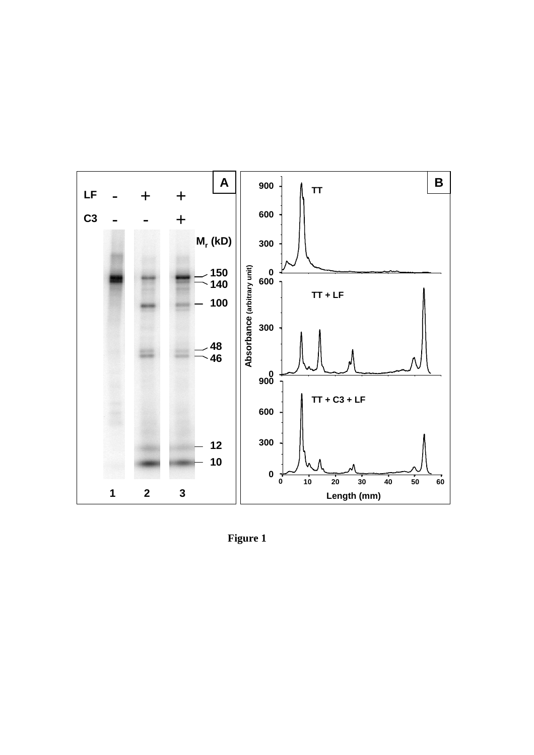

**Figure 1**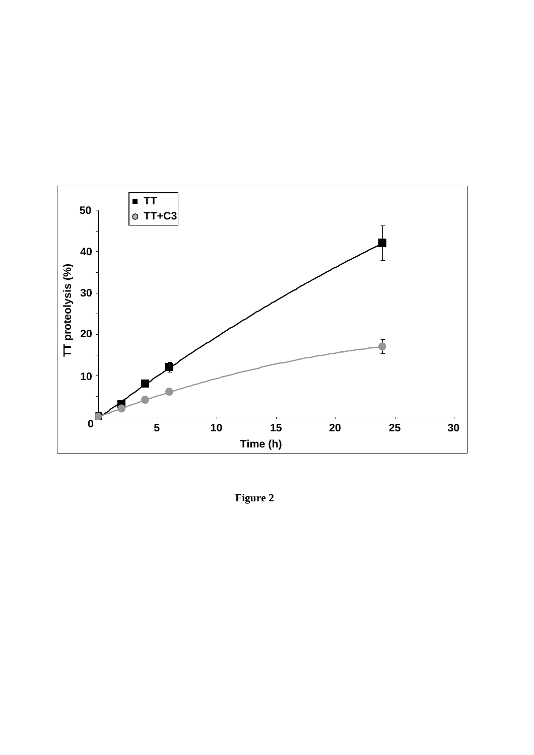

**Figure 2**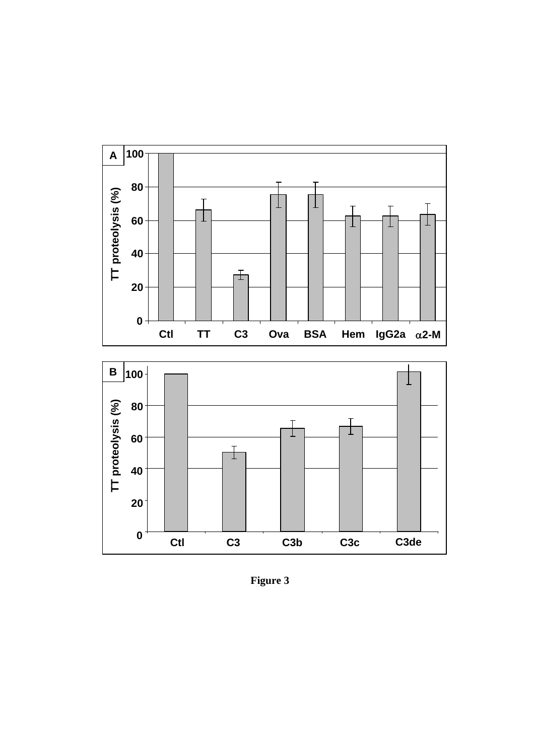



**Figure 3**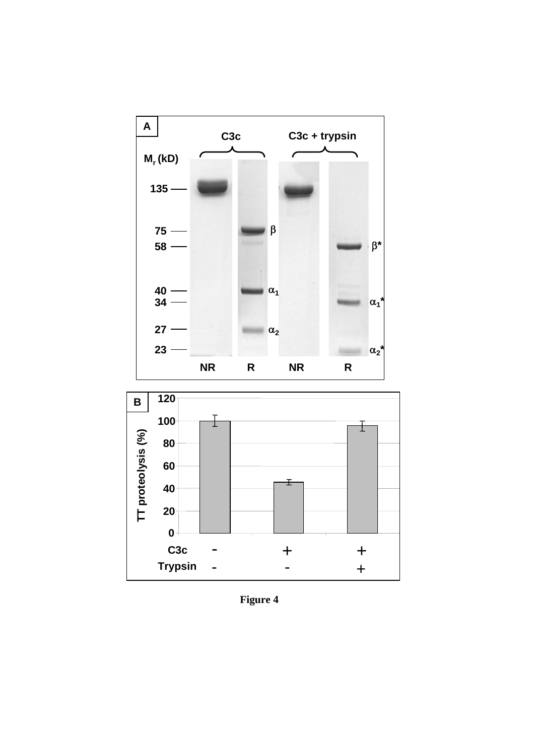



**Figure 4**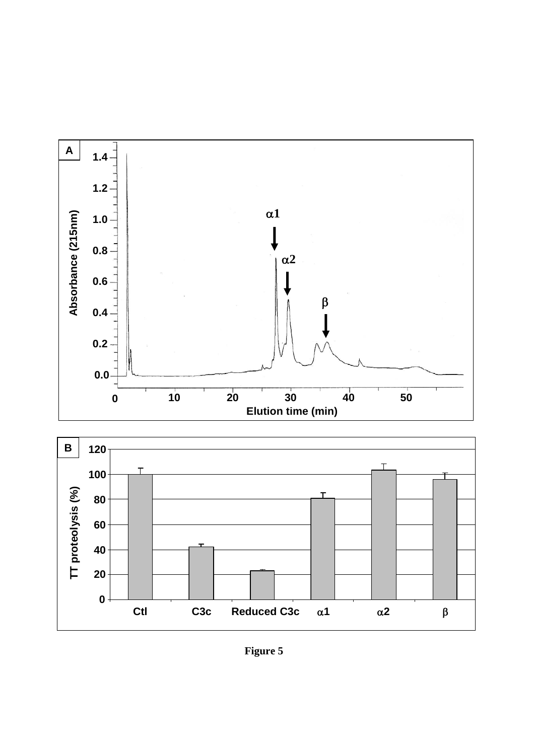



**Figure 5**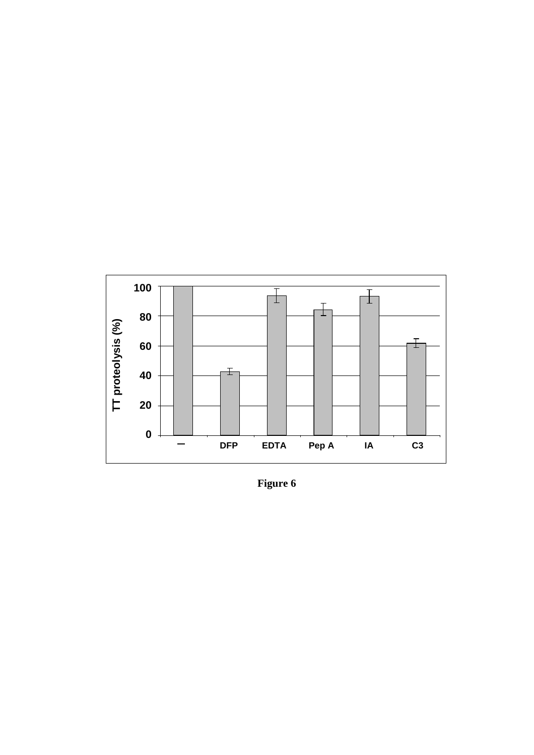

**Figure 6**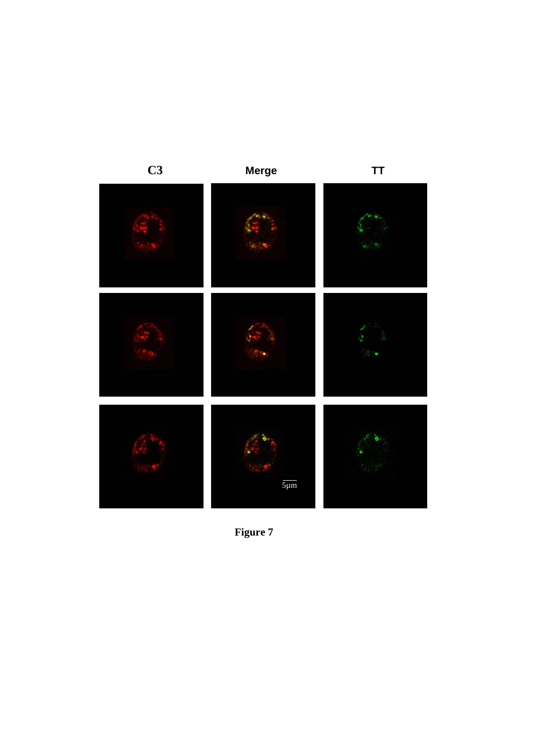

**Figure 7**